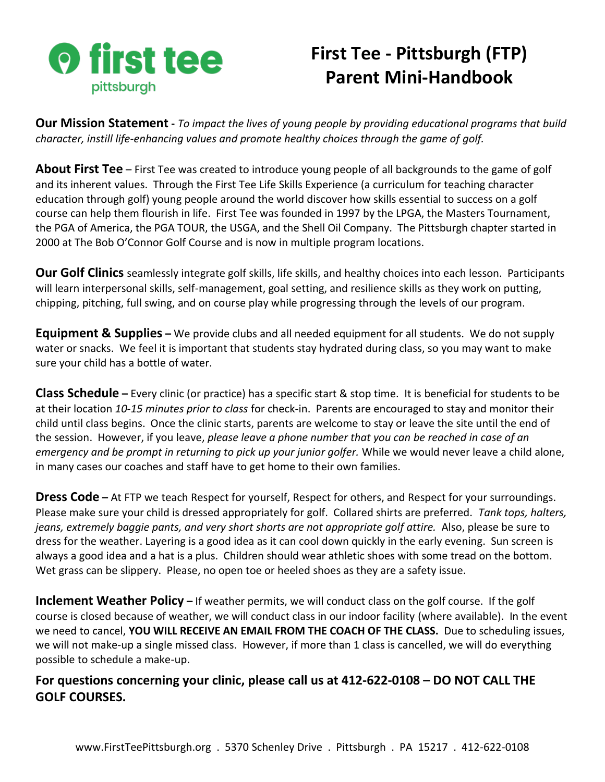

## **First Tee - Pittsburgh (FTP) Parent Mini-Handbook**

**Our Mission Statement -** *To impact the lives of young people by providing educational programs that build character, instill life-enhancing values and promote healthy choices through the game of golf.*

**About First Tee** – First Tee was created to introduce young people of all backgrounds to the game of golf and its inherent values. Through the First Tee Life Skills Experience (a curriculum for teaching character education through golf) young people around the world discover how skills essential to success on a golf course can help them flourish in life. First Tee was founded in 1997 by the LPGA, the Masters Tournament, the PGA of America, the PGA TOUR, the USGA, and the Shell Oil Company. The Pittsburgh chapter started in 2000 at The Bob O'Connor Golf Course and is now in multiple program locations.

**Our Golf Clinics** seamlessly integrate golf skills, life skills, and healthy choices into each lesson. Participants will learn interpersonal skills, self-management, goal setting, and resilience skills as they work on putting, chipping, pitching, full swing, and on course play while progressing through the levels of our program.

**Equipment & Supplies** – We provide clubs and all needed equipment for all students. We do not supply water or snacks. We feel it is important that students stay hydrated during class, so you may want to make sure your child has a bottle of water.

**Class Schedule –** Every clinic (or practice) has a specific start & stop time. It is beneficial for students to be at their location *10-15 minutes prior to class* for check-in. Parents are encouraged to stay and monitor their child until class begins. Once the clinic starts, parents are welcome to stay or leave the site until the end of the session. However, if you leave, *please leave a phone number that you can be reached in case of an emergency and be prompt in returning to pick up your junior golfer.* While we would never leave a child alone, in many cases our coaches and staff have to get home to their own families.

**Dress Code –** At FTP we teach Respect for yourself, Respect for others, and Respect for your surroundings. Please make sure your child is dressed appropriately for golf. Collared shirts are preferred. *Tank tops, halters, jeans, extremely baggie pants, and very short shorts are not appropriate golf attire.* Also, please be sure to dress for the weather. Layering is a good idea as it can cool down quickly in the early evening. Sun screen is always a good idea and a hat is a plus. Children should wear athletic shoes with some tread on the bottom. Wet grass can be slippery. Please, no open toe or heeled shoes as they are a safety issue.

**Inclement Weather Policy** – If weather permits, we will conduct class on the golf course. If the golf course is closed because of weather, we will conduct class in our indoor facility (where available). In the event we need to cancel, **YOU WILL RECEIVE AN EMAIL FROM THE COACH OF THE CLASS.** Due to scheduling issues, we will not make-up a single missed class. However, if more than 1 class is cancelled, we will do everything possible to schedule a make-up.

**For questions concerning your clinic, please call us at 412-622-0108 – DO NOT CALL THE GOLF COURSES.**